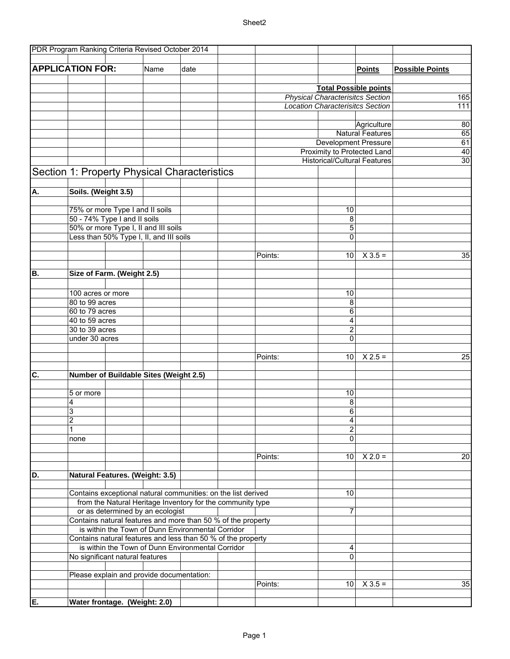## Sheet2

|                           |                                                                                                                   |                                 | PDR Program Ranking Criteria Revised October 2014 |      |  |         |                                         |                         |                        |
|---------------------------|-------------------------------------------------------------------------------------------------------------------|---------------------------------|---------------------------------------------------|------|--|---------|-----------------------------------------|-------------------------|------------------------|
|                           |                                                                                                                   |                                 |                                                   |      |  |         |                                         |                         |                        |
|                           | <b>APPLICATION FOR:</b>                                                                                           |                                 | Name                                              | date |  |         |                                         | <b>Points</b>           | <b>Possible Points</b> |
|                           |                                                                                                                   |                                 |                                                   |      |  |         |                                         |                         |                        |
|                           |                                                                                                                   | <b>Total Possible points</b>    |                                                   |      |  |         |                                         |                         |                        |
|                           |                                                                                                                   |                                 |                                                   |      |  |         | <b>Physical Characterisitcs Section</b> |                         | 165                    |
|                           |                                                                                                                   |                                 |                                                   |      |  |         | <b>Location Characterisitcs Section</b> |                         |                        |
|                           |                                                                                                                   |                                 |                                                   |      |  |         |                                         |                         | 111                    |
|                           |                                                                                                                   |                                 |                                                   |      |  |         |                                         |                         |                        |
|                           |                                                                                                                   |                                 |                                                   |      |  |         |                                         | Agriculture             | 80                     |
|                           |                                                                                                                   |                                 |                                                   |      |  |         |                                         | <b>Natural Features</b> | 65                     |
|                           |                                                                                                                   |                                 |                                                   |      |  |         | <b>Development Pressure</b>             |                         | 61                     |
|                           |                                                                                                                   |                                 |                                                   |      |  |         | Proximity to Protected Land             |                         | 40                     |
|                           |                                                                                                                   |                                 |                                                   |      |  |         | <b>Historical/Cultural Features</b>     |                         | 30                     |
|                           |                                                                                                                   |                                 | Section 1: Property Physical Characteristics      |      |  |         |                                         |                         |                        |
| А.                        | Soils. (Weight 3.5)                                                                                               |                                 |                                                   |      |  |         |                                         |                         |                        |
|                           |                                                                                                                   |                                 |                                                   |      |  |         |                                         |                         |                        |
|                           | 75% or more Type I and II soils                                                                                   |                                 |                                                   |      |  |         | 10                                      |                         |                        |
|                           |                                                                                                                   |                                 |                                                   |      |  |         |                                         |                         |                        |
|                           |                                                                                                                   | 50 - 74% Type I and II soils    |                                                   |      |  |         | 8                                       |                         |                        |
|                           |                                                                                                                   |                                 | 50% or more Type I, II and III soils              |      |  |         | 5                                       |                         |                        |
|                           |                                                                                                                   |                                 | Less than 50% Type I, II, and III soils           |      |  |         | $\mathbf 0$                             |                         |                        |
|                           |                                                                                                                   |                                 |                                                   |      |  |         |                                         |                         |                        |
|                           |                                                                                                                   |                                 |                                                   |      |  | Points: | 10                                      | $X$ 3.5 =               | 35                     |
|                           |                                                                                                                   |                                 |                                                   |      |  |         |                                         |                         |                        |
| B.                        | Size of Farm. (Weight 2.5)                                                                                        |                                 |                                                   |      |  |         |                                         |                         |                        |
|                           |                                                                                                                   |                                 |                                                   |      |  |         |                                         |                         |                        |
|                           | 100 acres or more                                                                                                 |                                 |                                                   |      |  |         | 10                                      |                         |                        |
|                           | 80 to 99 acres                                                                                                    |                                 |                                                   |      |  |         | 8                                       |                         |                        |
|                           | 60 to 79 acres                                                                                                    |                                 |                                                   |      |  |         | 6                                       |                         |                        |
|                           | 40 to 59 acres                                                                                                    |                                 |                                                   |      |  |         | 4                                       |                         |                        |
|                           | 30 to 39 acres                                                                                                    |                                 |                                                   |      |  |         | $\overline{2}$                          |                         |                        |
|                           |                                                                                                                   |                                 |                                                   |      |  |         |                                         |                         |                        |
|                           | under 30 acres                                                                                                    |                                 |                                                   |      |  |         | $\mathbf 0$                             |                         |                        |
|                           |                                                                                                                   |                                 |                                                   |      |  |         |                                         |                         |                        |
|                           |                                                                                                                   |                                 |                                                   |      |  | Points: | 10                                      | $X 2.5 =$               | 25                     |
|                           |                                                                                                                   |                                 |                                                   |      |  |         |                                         |                         |                        |
| $\overline{\mathsf{c}}$ . |                                                                                                                   |                                 | Number of Buildable Sites (Weight 2.5)            |      |  |         |                                         |                         |                        |
|                           |                                                                                                                   |                                 |                                                   |      |  |         |                                         |                         |                        |
|                           | 5 or more                                                                                                         |                                 |                                                   |      |  |         | 10                                      |                         |                        |
|                           | 4                                                                                                                 |                                 |                                                   |      |  |         | 8                                       |                         |                        |
|                           | 3                                                                                                                 |                                 |                                                   |      |  |         | 6                                       |                         |                        |
|                           | 2                                                                                                                 |                                 |                                                   |      |  |         | 4                                       |                         |                        |
|                           | 1                                                                                                                 |                                 |                                                   |      |  |         | $\overline{\mathbf{c}}$                 |                         |                        |
|                           | none                                                                                                              |                                 |                                                   |      |  |         | $\mathbf 0$                             |                         |                        |
|                           |                                                                                                                   |                                 |                                                   |      |  |         |                                         |                         |                        |
|                           |                                                                                                                   |                                 |                                                   |      |  | Points: | 10                                      | $X 2.0 =$               | 20                     |
|                           |                                                                                                                   |                                 |                                                   |      |  |         |                                         |                         |                        |
| D.                        | Natural Features. (Weight: 3.5)                                                                                   |                                 |                                                   |      |  |         |                                         |                         |                        |
|                           |                                                                                                                   |                                 |                                                   |      |  |         |                                         |                         |                        |
|                           |                                                                                                                   |                                 |                                                   |      |  |         |                                         |                         |                        |
|                           | Contains exceptional natural communities: on the list derived                                                     |                                 |                                                   |      |  |         | 10                                      |                         |                        |
|                           | from the Natural Heritage Inventory for the community type<br>or as determined by an ecologist                    |                                 |                                                   |      |  |         |                                         |                         |                        |
|                           |                                                                                                                   |                                 |                                                   |      |  |         | $\overline{7}$                          |                         |                        |
|                           | Contains natural features and more than 50 % of the property                                                      |                                 |                                                   |      |  |         |                                         |                         |                        |
|                           | is within the Town of Dunn Environmental Corridor<br>Contains natural features and less than 50 % of the property |                                 |                                                   |      |  |         |                                         |                         |                        |
|                           |                                                                                                                   |                                 |                                                   |      |  |         |                                         |                         |                        |
|                           | is within the Town of Dunn Environmental Corridor                                                                 |                                 |                                                   |      |  | 4       |                                         |                         |                        |
|                           |                                                                                                                   | No significant natural features |                                                   |      |  |         | 0                                       |                         |                        |
|                           |                                                                                                                   |                                 |                                                   |      |  |         |                                         |                         |                        |
|                           |                                                                                                                   |                                 | Please explain and provide documentation:         |      |  |         |                                         |                         |                        |
|                           |                                                                                                                   |                                 |                                                   |      |  | Points: | 10                                      | $X$ 3.5 =               | 35                     |
|                           |                                                                                                                   |                                 |                                                   |      |  |         |                                         |                         |                        |
| E.                        | Water frontage. (Weight: 2.0)                                                                                     |                                 |                                                   |      |  |         |                                         |                         |                        |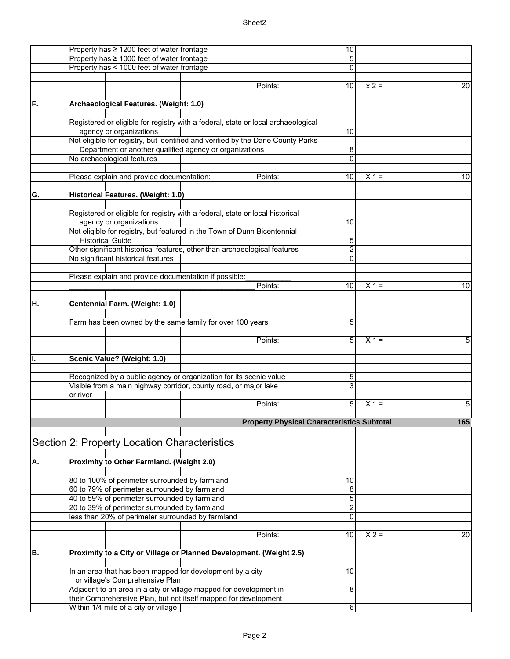## Sheet2

|     | Property has $\geq 1200$ feet of water frontage                                   | 10             |         |     |
|-----|-----------------------------------------------------------------------------------|----------------|---------|-----|
|     | Property has ≥ 1000 feet of water frontage                                        | 5              |         |     |
|     | Property has < 1000 feet of water frontage                                        | 0              |         |     |
|     |                                                                                   |                |         |     |
|     | Points:                                                                           | 10             | $x 2 =$ | 20  |
|     |                                                                                   |                |         |     |
| IF. | Archaeological Features. (Weight: 1.0)                                            |                |         |     |
|     |                                                                                   |                |         |     |
|     |                                                                                   |                |         |     |
|     | Registered or eligible for registry with a federal, state or local archaeological |                |         |     |
|     | agency or organizations                                                           | 10             |         |     |
|     | Not eligible for registry, but identified and verified by the Dane County Parks   |                |         |     |
|     | Department or another qualified agency or organizations                           | 8              |         |     |
|     | No archaeological features                                                        | 0              |         |     |
|     |                                                                                   |                |         |     |
|     | Please explain and provide documentation:<br>Points:                              | 10             | $X 1 =$ | 10  |
|     |                                                                                   |                |         |     |
| G.  | Historical Features. (Weight: 1.0)                                                |                |         |     |
|     |                                                                                   |                |         |     |
|     |                                                                                   |                |         |     |
|     | Registered or eligible for registry with a federal, state or local historical     |                |         |     |
|     | agency or organizations                                                           | 10             |         |     |
|     | Not eligible for registry, but featured in the Town of Dunn Bicentennial          |                |         |     |
|     | <b>Historical Guide</b>                                                           | 5              |         |     |
|     | Other significant historical features, other than archaeological features         | $\overline{c}$ |         |     |
|     | No significant historical features                                                | 0              |         |     |
|     |                                                                                   |                |         |     |
|     | Please explain and provide documentation if possible:                             |                |         |     |
|     | Points:                                                                           | 10             | $X 1 =$ | 10  |
|     |                                                                                   |                |         |     |
| IH. | Centennial Farm. (Weight: 1.0)                                                    |                |         |     |
|     |                                                                                   |                |         |     |
|     |                                                                                   |                |         |     |
|     | Farm has been owned by the same family for over 100 years                         | 5              |         |     |
|     |                                                                                   |                |         |     |
|     | Points:                                                                           | 5              | $X =$   | 5   |
|     |                                                                                   |                |         |     |
| Π.  | Scenic Value? (Weight: 1.0)                                                       |                |         |     |
|     |                                                                                   |                |         |     |
|     | Recognized by a public agency or organization for its scenic value                | 5              |         |     |
|     | Visible from a main highway corridor, county road, or major lake                  | 3              |         |     |
|     | or river                                                                          |                |         |     |
|     | Points:                                                                           | 5              | $X =$   | 5   |
|     |                                                                                   |                |         |     |
|     | <b>Property Physical Characteristics Subtotal</b>                                 |                |         | 165 |
|     |                                                                                   |                |         |     |
|     |                                                                                   |                |         |     |
|     | Section 2: Property Location Characteristics                                      |                |         |     |
|     |                                                                                   |                |         |     |
| A.  | Proximity to Other Farmland. (Weight 2.0)                                         |                |         |     |
|     |                                                                                   |                |         |     |
|     | 80 to 100% of perimeter surrounded by farmland                                    | 10             |         |     |
|     | 60 to 79% of perimeter surrounded by farmland                                     | 8              |         |     |
|     | 40 to 59% of perimeter surrounded by farmland                                     |                |         |     |
|     |                                                                                   | 5              |         |     |
|     | 20 to 39% of perimeter surrounded by farmland                                     | 2              |         |     |
|     | less than 20% of perimeter surrounded by farmland                                 | 0              |         |     |
|     |                                                                                   |                |         |     |
|     | Points:                                                                           | 10             | $X 2 =$ | 20  |
|     |                                                                                   |                |         |     |
| IB. | Proximity to a City or Village or Planned Development. (Weight 2.5)               |                |         |     |
|     |                                                                                   |                |         |     |
|     | In an area that has been mapped for development by a city                         | 10             |         |     |
|     | or village's Comprehensive Plan                                                   |                |         |     |
|     | Adjacent to an area in a city or village mapped for development in                | 8              |         |     |
|     | their Comprehensive Plan, but not itself mapped for development                   |                |         |     |
|     | Within 1/4 mile of a city or village                                              | 6              |         |     |
|     |                                                                                   |                |         |     |